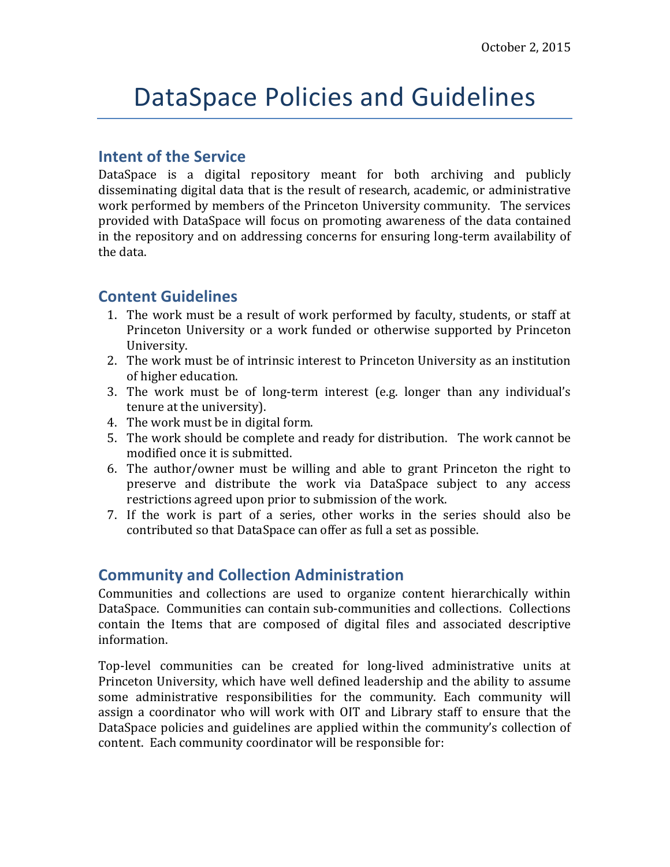# DataSpace Policies and Guidelines

## **Intent of the Service**

DataSpace is a digital repository meant for both archiving and publicly disseminating digital data that is the result of research, academic, or administrative work performed by members of the Princeton University community. The services provided with DataSpace will focus on promoting awareness of the data contained in the repository and on addressing concerns for ensuring long-term availability of the data.

# **Content Guidelines**

- 1. The work must be a result of work performed by faculty, students, or staff at Princeton University or a work funded or otherwise supported by Princeton University.
- 2. The work must be of intrinsic interest to Princeton University as an institution of higher education.
- 3. The work must be of long-term interest (e.g. longer than any individual's tenure at the university).
- 4. The work must be in digital form.
- 5. The work should be complete and ready for distribution. The work cannot be modified once it is submitted.
- 6. The author/owner must be willing and able to grant Princeton the right to preserve and distribute the work via DataSpace subject to any access restrictions agreed upon prior to submission of the work.
- 7. If the work is part of a series, other works in the series should also be contributed so that DataSpace can offer as full a set as possible.

## **Community and Collection Administration**

Communities and collections are used to organize content hierarchically within DataSpace. Communities can contain sub-communities and collections. Collections contain the Items that are composed of digital files and associated descriptive information.

Top-level communities can be created for long-lived administrative units at Princeton University, which have well defined leadership and the ability to assume some administrative responsibilities for the community. Each community will assign a coordinator who will work with OIT and Library staff to ensure that the DataSpace policies and guidelines are applied within the community's collection of content. Each community coordinator will be responsible for: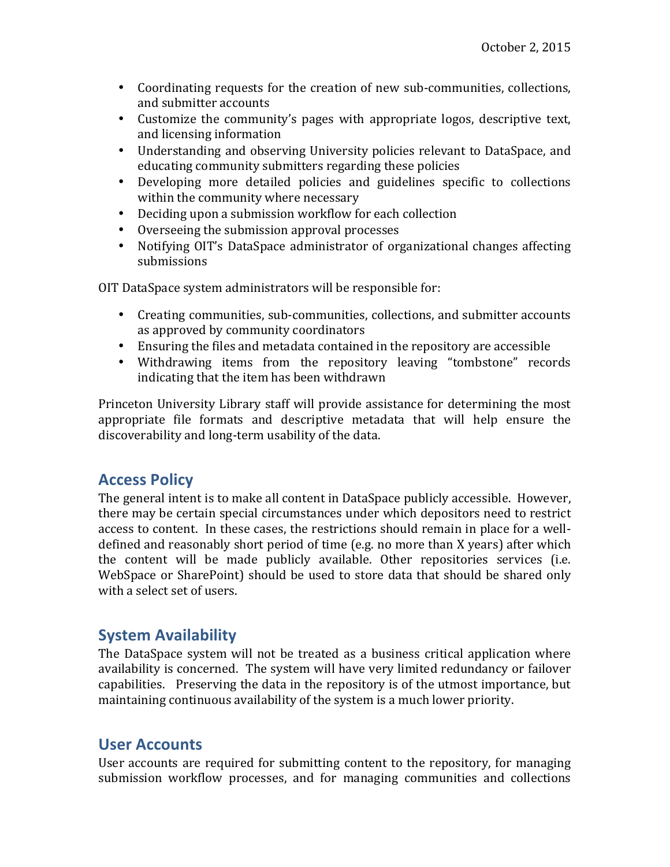- Coordinating requests for the creation of new sub-communities, collections, and submitter accounts
- Customize the community's pages with appropriate logos, descriptive text, and licensing information
- Understanding and observing University policies relevant to DataSpace, and educating community submitters regarding these policies
- Developing more detailed policies and guidelines specific to collections within the community where necessary
- Deciding upon a submission workflow for each collection
- Overseeing the submission approval processes
- Notifying OIT's DataSpace administrator of organizational changes affecting submissions

OIT DataSpace system administrators will be responsible for:

- Creating communities, sub-communities, collections, and submitter accounts as approved by community coordinators
- Ensuring the files and metadata contained in the repository are accessible
- Withdrawing items from the repository leaving "tombstone" records indicating that the item has been withdrawn

Princeton University Library staff will provide assistance for determining the most appropriate file formats and descriptive metadata that will help ensure the discoverability and long-term usability of the data.

# **Access Policy**

The general intent is to make all content in DataSpace publicly accessible. However, there may be certain special circumstances under which depositors need to restrict access to content. In these cases, the restrictions should remain in place for a welldefined and reasonably short period of time  $(e.g. no more than X years)$  after which the content will be made publicly available. Other repositories services (i.e. WebSpace or SharePoint) should be used to store data that should be shared only with a select set of users.

# **System Availability**

The DataSpace system will not be treated as a business critical application where availability is concerned. The system will have very limited redundancy or failover capabilities. Preserving the data in the repository is of the utmost importance, but maintaining continuous availability of the system is a much lower priority.

# **User Accounts**

User accounts are required for submitting content to the repository, for managing submission workflow processes, and for managing communities and collections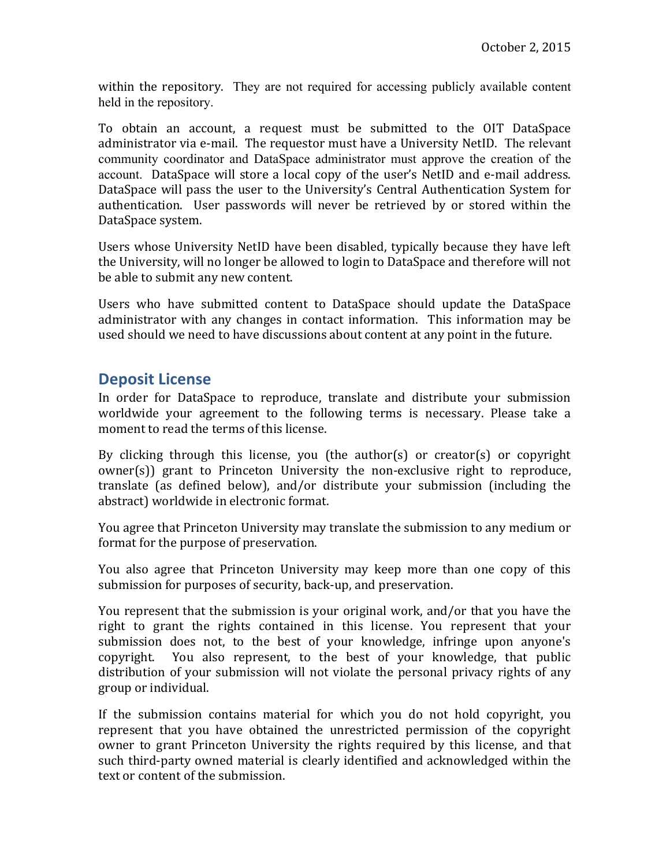within the repository. They are not required for accessing publicly available content held in the repository.

To obtain an account, a request must be submitted to the OIT DataSpace administrator via e-mail. The requestor must have a University NetID. The relevant community coordinator and DataSpace administrator must approve the creation of the account. DataSpace will store a local copy of the user's NetID and e-mail address. DataSpace will pass the user to the University's Central Authentication System for authentication. User passwords will never be retrieved by or stored within the DataSpace system.

Users whose University NetID have been disabled, typically because they have left the University, will no longer be allowed to login to DataSpace and therefore will not be able to submit any new content.

Users who have submitted content to DataSpace should update the DataSpace administrator with any changes in contact information. This information may be used should we need to have discussions about content at any point in the future.

# **Deposit License**

In order for DataSpace to reproduce, translate and distribute your submission worldwide your agreement to the following terms is necessary. Please take a moment to read the terms of this license.

By clicking through this license, you (the author(s) or creator(s) or copyright  $owner(s)$ ) grant to Princeton University the non-exclusive right to reproduce, translate (as defined below), and/or distribute your submission (including the abstract) worldwide in electronic format.

You agree that Princeton University may translate the submission to any medium or format for the purpose of preservation.

You also agree that Princeton University may keep more than one copy of this submission for purposes of security, back-up, and preservation.

You represent that the submission is your original work, and/or that you have the right to grant the rights contained in this license. You represent that your submission does not, to the best of your knowledge, infringe upon anyone's copyright. You also represent, to the best of your knowledge, that public distribution of your submission will not violate the personal privacy rights of any group or individual.

If the submission contains material for which you do not hold copyright, you represent that you have obtained the unrestricted permission of the copyright owner to grant Princeton University the rights required by this license, and that such third-party owned material is clearly identified and acknowledged within the text or content of the submission.